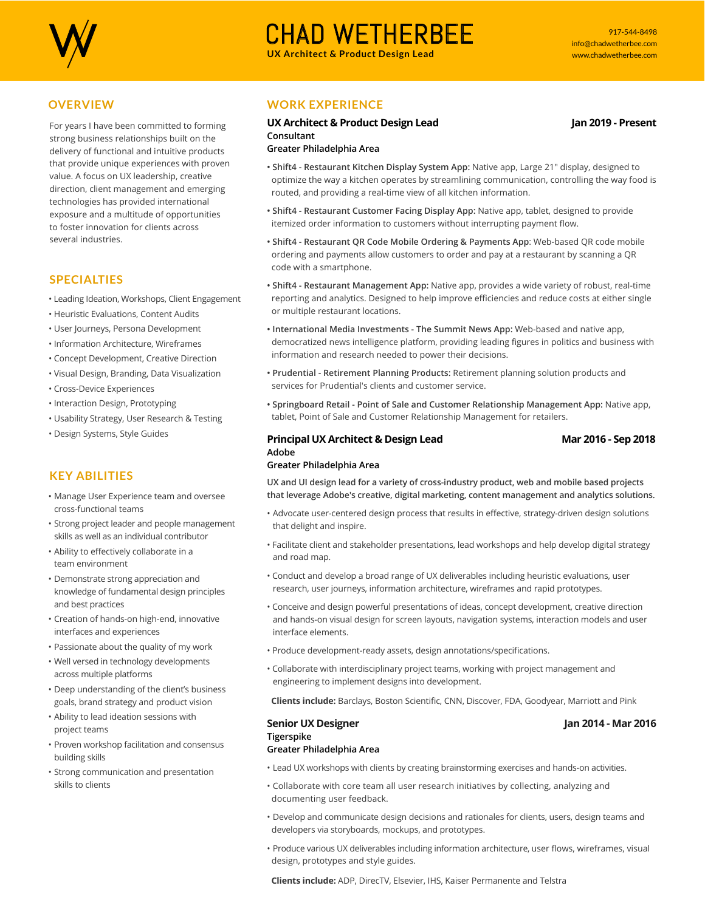

# CHAD WETHERBEE **UX Architect & Product Design Lead**

# **OVERVIEW**

For years I have been committed to forming strong business relationships built on the delivery of functional and intuitive products that provide unique experiences with proven value. A focus on UX leadership, creative direction, client management and emerging technologies has provided international exposure and a multitude of opportunities to foster innovation for clients across several industries.

## **SPECIALTIES**

- Leading Ideation, Workshops, Client Engagement
- Heuristic Evaluations, Content Audits
- User Journeys, Persona Development
- Information Architecture, Wireframes
- Concept Development, Creative Direction
- Visual Design, Branding, Data Visualization
- Cross-Device Experiences
- Interaction Design, Prototyping
- Usability Strategy, User Research & Testing
- Design Systems, Style Guides

# **KEY ABILITIES**

- Manage User Experience team and oversee cross-functional teams
- Strong project leader and people management skills as well as an individual contributor
- Ability to effectively collaborate in a team environment
- Demonstrate strong appreciation and knowledge of fundamental design principles and best practices
- Creation of hands-on high-end, innovative interfaces and experiences
- Passionate about the quality of my work
- Well versed in technology developments across multiple platforms
- Deep understanding of the client's business goals, brand strategy and product vision
- Ability to lead ideation sessions with project teams
- Proven workshop facilitation and consensus building skills
- Strong communication and presentation skills to clients

# **WORK EXPERIENCE**

#### **UX Architect & Product Design Lead Jan 2019 - Present Consultant Greater Philadelphia Area**

### **• Shift4 - Restaurant Kitchen Display System App:** Native app, Large 21" display, designed to optimize the way a kitchen operates by streamlining communication, controlling the way food is routed, and providing a real-time view of all kitchen information.

- **Shift4 Restaurant Customer Facing Display App:** Native app, tablet, designed to provide itemized order information to customers without interrupting payment flow.
- **Shift4 Restaurant QR Code Mobile Ordering & Payments App**: Web-based QR code mobile ordering and payments allow customers to order and pay at a restaurant by scanning a QR code with a smartphone.
- **Shift4 Restaurant Management App:** Native app, provides a wide variety of robust, real-time reporting and analytics. Designed to help improve efficiencies and reduce costs at either single or multiple restaurant locations.
- **International Media Investments The Summit News App:** Web-based and native app, democratized news intelligence platform, providing leading figures in politics and business with information and research needed to power their decisions.
- **Prudential Retirement Planning Products:** Retirement planning solution products and services for Prudential's clients and customer service.
- **Springboard Retail Point of Sale and Customer Relationship Management App:** Native app, tablet, Point of Sale and Customer Relationship Management for retailers.

#### **Principal UX Architect & Design Lead Mar 2016 - Sep 2018 Adobe Greater Philadelphia Area**

### **UX and UI design lead for a variety of cross-industry product, web and mobile based projects that leverage Adobe's creative, digital marketing, content management and analytics solutions.**

- Advocate user-centered design process that results in effective, strategy-driven design solutions that delight and inspire.
- Facilitate client and stakeholder presentations, lead workshops and help develop digital strategy and road map.
- Conduct and develop a broad range of UX deliverables including heuristic evaluations, user research, user journeys, information architecture, wireframes and rapid prototypes.
- Conceive and design powerful presentations of ideas, concept development, creative direction and hands-on visual design for screen layouts, navigation systems, interaction models and user interface elements.
- Produce development-ready assets, design annotations/specifications.
- Collaborate with interdisciplinary project teams, working with project management and engineering to implement designs into development.

 **Clients include:** Barclays, Boston Scientific, CNN, Discover, FDA, Goodyear, Marriott and Pink

# **Senior UX Designer Jan 2014 - Mar 2016 Tigerspike**

# **Greater Philadelphia Area**

- Lead UX workshops with clients by creating brainstorming exercises and hands-on activities.
- Collaborate with core team all user research initiatives by collecting, analyzing and documenting user feedback.
- Develop and communicate design decisions and rationales for clients, users, design teams and developers via storyboards, mockups, and prototypes.
- Produce various UX deliverables including information architecture, user flows, wireframes, visual design, prototypes and style guides.

 **Clients include:** ADP, DirecTV, Elsevier, IHS, Kaiser Permanente and Telstra